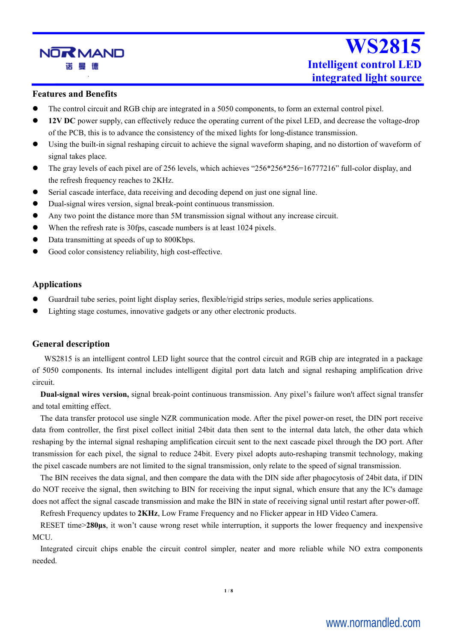

#### **Features and Benefits**

- The control circuit and RGB chip are integrated in a 5050 components, to form an external control pixel.
- **12V DC** power supply, can effectively reduce the operating current of the pixel LED, and decrease the voltage-drop of the PCB, this is to advance the consistency of the mixed lights for long-distance transmission.
- Using the built-in signal reshaping circuit to achieve the signal waveform shaping, and no distortion of waveform of signal takes place.
- The gray levels of each pixel are of 256 levels, which achieves "256\*256\*256=16777216" full-color display, and the refresh frequency reaches to 2KHz.
- Serial cascade interface, data receiving and decoding depend on just one signal line.
- Dual-signal wires version, signal break-point continuous transmission.
- Any two point the distance more than 5M transmission signal without any increase circuit.
- When the refresh rate is 30fps, cascade numbers is at least 1024 pixels.
- Data transmitting at speeds of up to 800Kbps.
- Good color consistency reliability, high cost-effective.

#### **Applications**

- Guardrail tube series, point light display series, flexible/rigid strips series, module series applications.
- Lighting stage costumes, innovative gadgets or any other electronic products.

#### **General description**

WS2815 is an intelligent control LED light source that the control circuit and RGB chip are integrated in a package of 5050 components. Its internal includes intelligent digital port data latch and signal reshaping amplification drive circuit.

**Dual-signal wires version,** signal break-point continuous transmission. Any pixel's failure won't affect signal transfer and total emitting effect.

The data transfer protocol use single NZR communication mode. After the pixel power-on reset, the DIN port receive data from controller, the first pixel collect initial 24bit data then sent to the internal data latch, the other data which reshaping by the internal signal reshaping amplification circuit sent to the next cascade pixel through the DO port. After transmission for each pixel, the signal to reduce 24bit. Every pixel adopts auto-reshaping transmit technology, making the pixel cascade numbers are not limited to the signal transmission, only relate to the speed of signal transmission.

The BIN receives the data signal, and then compare the data with the DIN side after phagocytosis of 24bit data, if DIN do NOT receive the signal, then switching to BIN for receiving the input signal, which ensure that any the IC's damage does not affect the signal cascade transmission and make the BIN in state of receiving signal until restart after power-off.

Refresh Frequency updates to **2KHz**, Low Frame Frequency and no Flicker appear in HD Video Camera.

RESET time>**280μs**, itwon't cause wrong reset while interruption, it supports the lower frequency and inexpensive MCU.

Integrated circuit chips enable the circuit control simpler, neater and more reliable while NO extra components needed.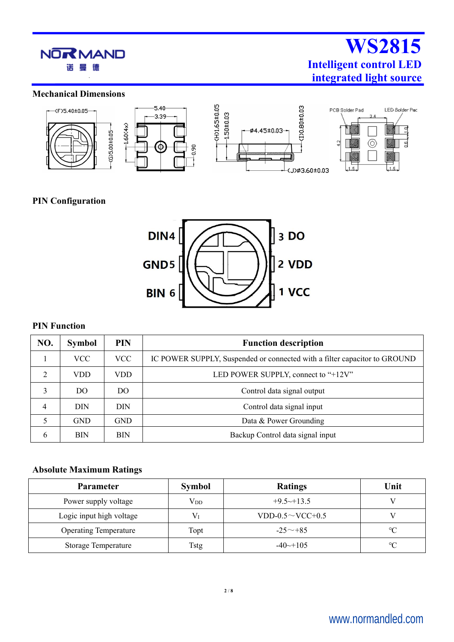

#### **Mechanical Dimensions**



### **PIN Configuration**



#### **PIN Function**

| NO.           | <b>PIN</b><br><b>Symbol</b><br><b>Function description</b> |            |                                                                           |  |  |  |
|---------------|------------------------------------------------------------|------------|---------------------------------------------------------------------------|--|--|--|
|               | <b>VCC</b>                                                 | <b>VCC</b> | IC POWER SUPPLY, Suspended or connected with a filter capacitor to GROUND |  |  |  |
| $\mathcal{L}$ | <b>VDD</b>                                                 | <b>VDD</b> | LED POWER SUPPLY, connect to "+12V"                                       |  |  |  |
| 3             | DO.                                                        | DO.        | Control data signal output                                                |  |  |  |
| 4             | <b>DIN</b>                                                 | <b>DIN</b> | Control data signal input                                                 |  |  |  |
|               | <b>GND</b>                                                 | <b>GND</b> | Data & Power Grounding                                                    |  |  |  |
| 6             | <b>BIN</b>                                                 | <b>BIN</b> | Backup Control data signal input                                          |  |  |  |

#### **Absolute Maximum Ratings**

| <b>Parameter</b>             | <b>Symbol</b> | <b>Ratings</b>           | Unit            |
|------------------------------|---------------|--------------------------|-----------------|
| Power supply voltage         | $\rm V_{DD}$  | $+9.5 \rightarrow +13.5$ |                 |
| Logic input high voltage     | $V_I$         | VDD-0.5 $\sim$ VCC+0.5   |                 |
| <b>Operating Temperature</b> | Topt          | $-25 \sim +85$           | $\rm ^{\circ}C$ |
| <b>Storage Temperature</b>   | Tstg          | $-40 \rightarrow 105$    | $\rm ^{\circ}C$ |

# www.normandled.com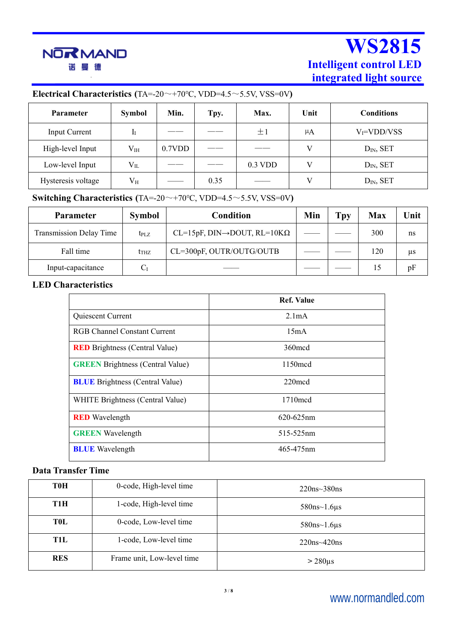

## **Electrical Characteristics (**TA=-20~+70℃, VDD=4.5~5.5V, VSS=0V**)**

| <b>Parameter</b>   | <b>Symbol</b> | Min.   | Tpy.   | Max.      | Unit    | <b>Conditions</b> |
|--------------------|---------------|--------|--------|-----------|---------|-------------------|
| Input Current      |               | ______ | ______ | ±1        | $\mu$ A | $V_I = VDD/VSS$   |
| High-level Input   | $V_{IH}$      | 0.7VDD |        | ______    | V       | $DIN$ , SET       |
| Low-level Input    | $V_{IL}$      | _____  |        | $0.3$ VDD | V       | $DIN$ , SET       |
| Hysteresis voltage | $V_{H}$       |        | 0.35   |           | V       | $DIN$ , SET       |

## **Switching Characteristics** (TA=-20 $\sim$ +70 $\degree$ C, VDD=4.5 $\sim$ 5.5V, VSS=0V)

| <b>Parameter</b>        | <b>Symbol</b>    | Condition                                    | Min | Tpy | Max | Unit    |
|-------------------------|------------------|----------------------------------------------|-----|-----|-----|---------|
| Transmission Delay Time | $t_{\rm PLZ}$    | $CL=15pF, DIN\rightarrow DOUT, RL=10K\Omega$ |     |     | 300 | ns      |
| Fall time               | t <sub>thz</sub> | CL=300pF, OUTR/OUTG/OUTB                     |     |     | 120 | $\mu$ s |
| Input-capacitance       | $C_I$            |                                              |     |     |     | pF      |

### **LED Characteristics**

|                                         | <b>Ref. Value</b>  |
|-----------------------------------------|--------------------|
| Quiescent Current                       | 2.1 <sub>m</sub> A |
| <b>RGB Channel Constant Current</b>     | 15mA               |
| <b>RED</b> Brightness (Central Value)   | 360 m cd           |
| <b>GREEN</b> Brightness (Central Value) | $1150 \text{mod}$  |
| <b>BLUE</b> Brightness (Central Value)  | $220 \text{mod}$   |
| WHITE Brightness (Central Value)        | $1710 \text{mod}$  |
| <b>RED</b> Wavelength                   | $620 - 625$ nm     |
| <b>GREEN</b> Wavelength                 | 515-525nm          |
| <b>BLUE</b> Wavelength                  | 465-475nm          |

## **Data Transfer Time**

| <b>TOH</b> | 0-code, High-level time    | $220$ ns~ $380$ ns   |
|------------|----------------------------|----------------------|
| T1H        | 1-code, High-level time    | $580$ ns~1.6 $\mu$ s |
| <b>TOL</b> | 0-code, Low-level time     | $580$ ns~1.6 $\mu$ s |
| T1L        | 1-code, Low-level time     | $220$ ns~420ns       |
| <b>RES</b> | Frame unit, Low-level time | $>$ 280 $\mu$ s      |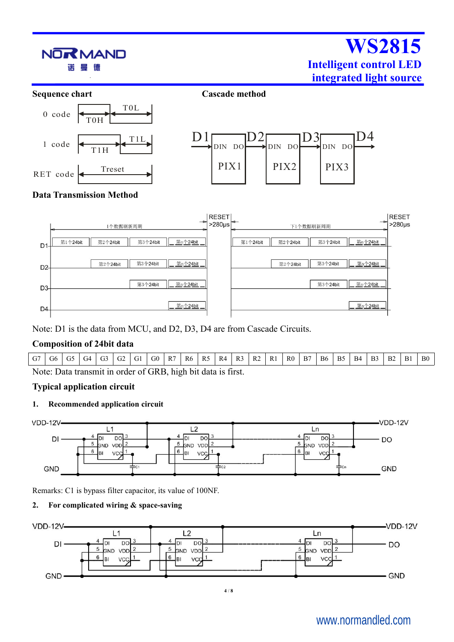

Note: D1 is the data from MCU, and D2, D3, D4 are from Cascade Circuits.

### **Composition of 24bit data**

| G7      | G6 | G5 | G <sub>4</sub>                                         | G3 | GG2 | G1 | G0 | R7 | R6 | R <sub>5</sub> | R <sub>4</sub> | R <sub>3</sub> | R <sub>2</sub> | R <sub>1</sub> | R0 | B7 | <b>B6</b> | <b>B5</b> | <b>B4</b> | B <sub>3</sub> | B <sub>2</sub> | B1 | ${\bf B0}$ |
|---------|----|----|--------------------------------------------------------|----|-----|----|----|----|----|----------------|----------------|----------------|----------------|----------------|----|----|-----------|-----------|-----------|----------------|----------------|----|------------|
| Note: L |    |    | Data transmit in order of GRB, high bit data is first. |    |     |    |    |    |    |                |                |                |                |                |    |    |           |           |           |                |                |    |            |

### **Typical application circuit**

#### **1. Recommended application circuit**



Remarks: C1 is bypass filter capacitor, its value of 100NF.

#### **2. For complicated wiring & space-saving**



# www.normandled.com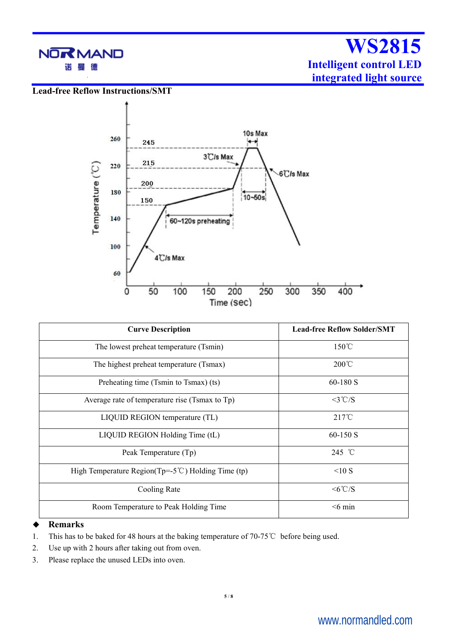

**Lead-free Reflow Instructions/SMT**



| <b>Curve Description</b>                                        | <b>Lead-free Reflow Solder/SMT</b> |
|-----------------------------------------------------------------|------------------------------------|
| The lowest preheat temperature (Tsmin)                          | $150^{\circ}$ C                    |
| The highest preheat temperature (Tsmax)                         | $200^{\circ}$ C                    |
| Preheating time (Tsmin to Tsmax) (ts)                           | $60-180$ S                         |
| Average rate of temperature rise (Tsmax to Tp)                  | $<3^{\circ}$ C/S                   |
| LIQUID REGION temperature (TL)                                  | $217^{\circ}$ C                    |
| LIQUID REGION Holding Time (tL)                                 | $60-150$ S                         |
| Peak Temperature (Tp)                                           | 245 °C                             |
| High Temperature Region( $Tp = -5^{\circ}C$ ) Holding Time (tp) | <10S                               |
| Cooling Rate                                                    | $\leq 6^{\circ}$ C/S               |
| Room Temperature to Peak Holding Time                           | $<$ 6 min                          |
|                                                                 |                                    |

#### **Remarks**

- 1. This has to be baked for 48 hours at the baking temperature of 70-75℃ before being used.
- 2. Use up with 2 hours after taking out from oven.
- 3. Please replace the unused LEDs into oven.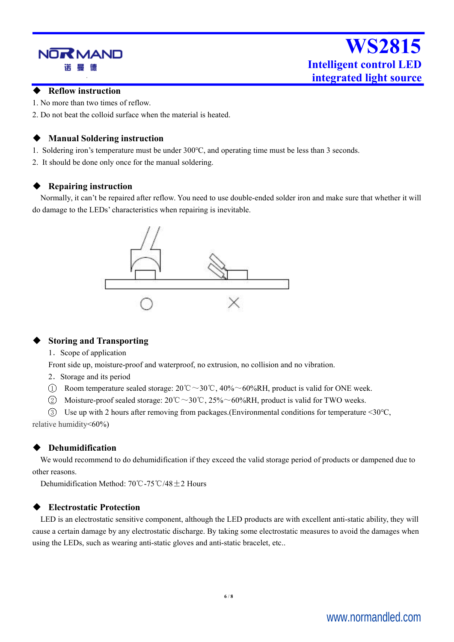# NOR MAND 诺

# **WS2815 Intelligent control LED integrated light source**

#### **Reflow instruction**

- 1. No more than two times of reflow.
- 2. Do not beat the colloid surface when the material is heated.

### **Manual Soldering instruction**

- 1. Soldering iron's temperature must be under 300℃, and operating time mustbe less than 3 seconds.
- 2. It should be done only once for the manual soldering.

#### **Repairing instruction**

Normally, it can't be repaired after reflow. You need to use double-ended solder iron and make sure that whether it will do damage to the LEDs' characteristics when repairing is inevitable.



#### **Storing and Transporting**

1. Scope of application

Front side up, moisture-proof and waterproof, no extrusion, no collision and no vibration.

- 2.Storage and its period
- 1 Room temperature sealed storage:  $20^{\circ}\text{C} \sim 30^{\circ}\text{C}$ ,  $40\% \sim 60\% \text{RH}$ , product is valid for ONE week.
- 2 Moisture-proof sealed storage: 20℃~30℃, 25%~60%RH, product is valid for TWO weeks.

3 Use up with 2 hours after removing from packages.(Environmental conditions for temperature <30℃, relative humidity<60%)

### **Dehumidification**

We would recommend to do dehumidification if they exceed the valid storage period of products or dampened due to other reasons.

Dehumidification Method: 70℃-75℃/48±2 Hours

#### **Electrostatic Protection**

LED is an electrostatic sensitive component, although the LED products are with excellent anti-static ability, they will cause a certain damage by any electrostatic discharge. By taking some electrostatic measures to avoid the damages when using the LEDs, such as wearing anti-static gloves and anti-static bracelet, etc..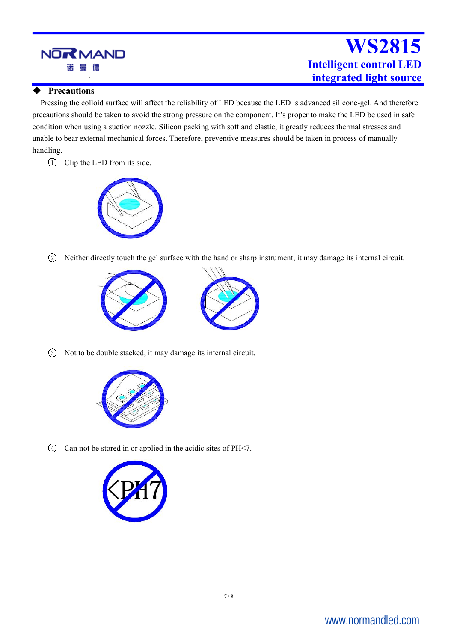

#### **Precautions**

Pressing the colloid surface will affect the reliability of LED because the LED is advanced silicone-gel. And therefore precautions should be taken to avoid the strong pressure on the component. It's proper to make the LED be used in safe condition when using a suction nozzle. Silicon packing with soft and elastic, it greatly reduces thermal stresses and unable to bear external mechanical forces. Therefore, preventive measures should be taken in process of manually handling.

1 Clip the LED from its side.



2 Neither directly touch the gel surface with the hand or sharp instrument, it may damage its internal circuit.





3 Not to be double stacked, it may damage its internal circuit.



4 Can not be stored in or applied in the acidic sites of PH<7.